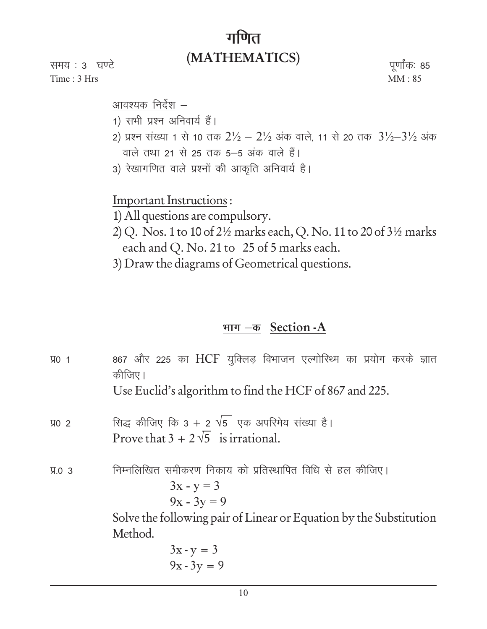## गणित (MATHEMATICS)

समय : 3 घण्टे Time: 3 Hrs

पूर्णांकः 85  $MM:85$ 

आवश्यक निर्देश –

- 1) सभी प्रश्न अनिवार्य हैं।
- 2) प्रश्न संख्या 1 से 10 तक  $2\frac{1}{2} 2\frac{1}{2}$  अंक वाले, 11 से 20 तक  $3\frac{1}{2} 3\frac{1}{2}$  अंक वाले तथा 21 से 25 तक 5-5 अंक वाले हैं।
- 3) रेखागणित वाले प्रश्नों की आकृति अनिवार्य है।

**Important Instructions:** 

- 1) All questions are compulsory.
- 2) Q. Nos. 1 to 10 of 2½ marks each, Q. No. 11 to 20 of 3½ marks each and Q. No. 21 to 25 of 5 marks each.
- 3) Draw the diagrams of Geometrical questions.

## भाग - क Section - A

| <b>VO 1</b>  | 867 और 225 का HCF युक्लिड़ विभाजन एल्गोरिथ्म का प्रयोग करके ज्ञात<br>कीजिए।<br>Use Euclid's algorithm to find the HCF of 867 and 225.                                       |
|--------------|-----------------------------------------------------------------------------------------------------------------------------------------------------------------------------|
| <b>VO 2</b>  | सिद्ध कीजिए कि 3 + 2 $\sqrt{5}$ एक अपरिमेय संख्या है।<br>Prove that $3 + 2\sqrt{5}$ is irrational.                                                                          |
| <b>9.0 3</b> | निम्नलिखित समीकरण निकाय को प्रतिस्थापित विधि से हल कीजिए।<br>$3x - y = 3$<br>$9x - 3y = 9$<br>Solve the following pair of Linear or Equation by the Substitution<br>Method. |
|              | $3x - y = 3$<br>$9x - 3y = 9$                                                                                                                                               |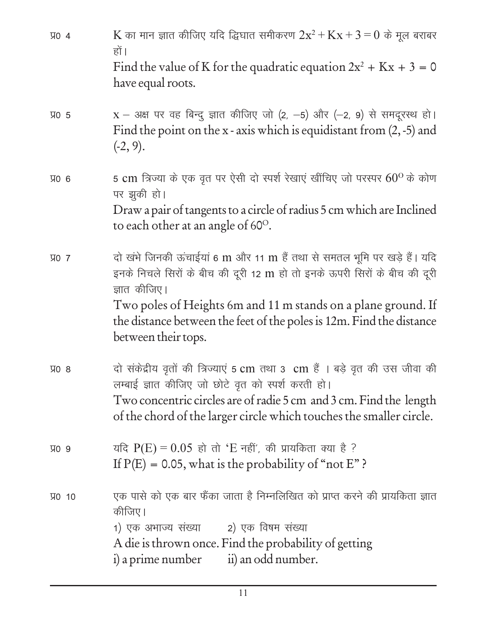K का मान ज्ञात कीजिए यदि द्धिघात समीकरण  $2x^2 + Kx + 3 = 0$  के मूल बराबर **VO 4** हों। Find the value of K for the quadratic equation  $2x^2 + Kx + 3 = 0$ have equal roots.  $X - 3$ क्ष पर वह बिन्दु ज्ञात कीजिए जो (2, -5) और (-2, 9) से समदूरस्थ हो।  $\Psi$  5 Find the point on the x - axis which is equidistant from  $(2, -5)$  and  $(-2, 9)$ . 5 cm त्रिज्या के एक वृत पर ऐसी दो स्पर्श रेखाएं खींचिए जो परस्पर  $60^{\rm o}$  के कोण **VO 6** पर झुकी हो। Draw a pair of tangents to a circle of radius 5 cm which are Inclined to each other at an angle of 60<sup>o</sup>. दो खंभे जिनकी ऊंचाईयां 6 m और 11 m हैं तथा से समतल भूमि पर खड़े हैं। यदि **VO 7** इनके निचले सिरों के बीच की दूरी 12 m हो तो इनके ऊपरी सिरों के बीच की दूरी ज्ञात कीजिए। Two poles of Heights 6m and 11 m stands on a plane ground. If the distance between the feet of the poles is 12m. Find the distance between their tops. दो संकेद्रीय वृतों की त्रिज्याएं 5 cm तथा 3 cm हैं । बड़े वृत की उस जीवा की  $\Psi$  8 लम्बाई ज्ञात कीजिए जो छोटे वृत को स्पर्श करती हो। Two concentric circles are of radie 5 cm and 3 cm. Find the length of the chord of the larger circle which touches the smaller circle. यदि  $P(E) = 0.05$  हो तो 'E नहीं', की प्रायकिता क्या है ? **VO 9** If  $P(E) = 0.05$ , what is the probability of "not E"? एक पासे को एक बार फैंका जाता है निम्नलिखित को प्राप्त करने की प्रायकिता ज्ञात **VO 10** कीजिए। 1) एक अभाज्य संख्या 2) एक विषम संख्या A die is thrown once. Find the probability of getting ii) an odd number. i) a prime number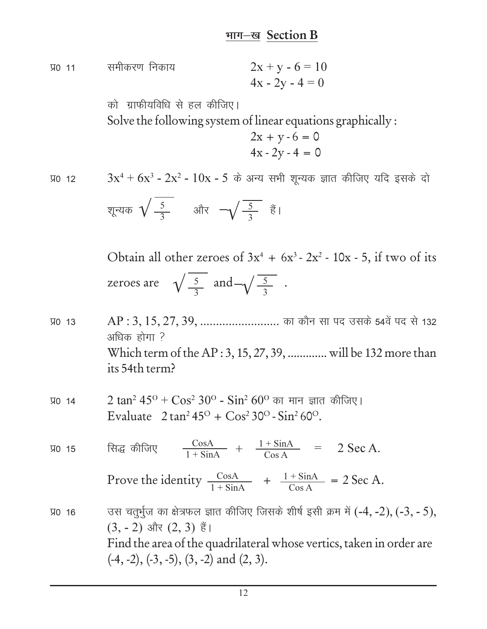## भाग-ख Section B

 $2x + y - 6 = 10$ समीकरण निकाय **VO 11**  $4x - 2y - 4 = 0$ 

> को ग्राफीयविधि से हल कीजिए। Solve the following system of linear equations graphically:

$$
2x + y - 6 = 0
$$
  

$$
4x - 2y - 4 = 0
$$

**VO 12** 

 $3x^4 + 6x^3 - 2x^2 - 10x - 5$  के अन्य सभी शून्यक ज्ञात कीजिए यदि इसके दो

शून्यक 
$$
\sqrt{\frac{5}{3}}
$$
 और  $-\sqrt{\frac{5}{3}}$   ४ै।

Obtain all other zeroes of  $3x^4 + 6x^3 - 2x^2 - 10x - 5$ , if two of its zeroes are  $\sqrt{\frac{5}{3}}$  and  $-\sqrt{\frac{5}{3}}$ .

- AP: 3, 15, 27, 39, .............................. का कौन सा पद उसके 54वें पद से 132 **VO 13** अधिक होगा ? Which term of the AP: 3, 15, 27, 39, .............. will be 132 more than its 54th term?
- 2 tan<sup>2</sup> 45<sup>o</sup> + Cos<sup>2</sup> 30<sup>o</sup> Sin<sup>2</sup> 60<sup>o</sup> का मान ज्ञात कीजिए। **VO 14** Evaluate  $2 \tan^2 45^\circ + \cos^2 30^\circ - \sin^2 60^\circ$ .
- $\frac{\cos A}{1+\sin A} + \frac{1+\sin A}{\cos A} = 2 \text{ Sec A.}$ सिद्ध कीजिए **VO 15**

Prove the identity  $\frac{\cos A}{1 + \sin A} + \frac{1 + \sin A}{\cos A} = 2 \text{ Sec A}.$ 

उस चतुर्भुज का क्षेत्रफल ज्ञात कीजिए जिसके शीर्ष इसी क्रम में (-4, -2), (-3, - 5), **VO 16**  $(3, -2)$  और  $(2, 3)$  हैं। Find the area of the quadrilateral whose vertics, taken in order are  $(-4, -2), (-3, -5), (3, -2)$  and  $(2, 3)$ .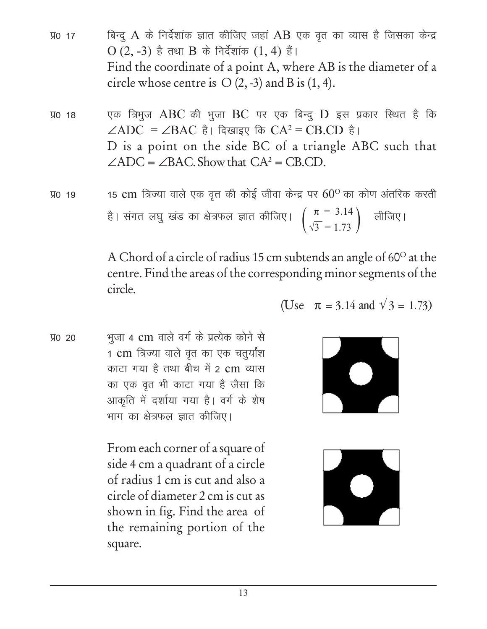- बिन्दू A के निर्देशांक ज्ञात कीजिए जहां AB एक वृत का व्यास है जिसका केन्द्र **VO 17** O  $(2, -3)$  है तथा B के निर्देशांक  $(1, 4)$  हैं। Find the coordinate of a point A, where AB is the diameter of a circle whose centre is  $O(2, -3)$  and B is  $(1, 4)$ .
- एक त्रिभुज ABC की भूजा BC पर एक बिन्दू D इस प्रकार स्थित है कि **VO 18**  $\angle ADC = \angle BAC$  है। दिखाइए कि  $CA^2 = CB.CD$  है। D is a point on the side BC of a triangle ABC such that  $\angle ADC = \angle BAC$ . Show that  $CA^2 = CB$ .CD.
- 15 cm त्रिज्या वाले एक वृत की कोई जीवा केन्द्र पर  $60^{\rm o}$  का कोण अंतरिक करती **VO 19** है। संगत लघु खंड का क्षेत्रफल ज्ञात कीजिए।  $\left(\frac{\pi}{\sqrt{3}} = 3.14\right)$  लीजिए।

A Chord of a circle of radius 15 cm subtends an angle of 60° at the centre. Find the areas of the corresponding minor segments of the circle.

भूजा 4 cm वाले वर्ग के प्रत्येक कोने से **VO 20** 1 cm त्रिज्या वाले वृत का एक चतुर्यांश काटा गया है तथा बीच में 2 cm व्यास का एक वृत भी काटा गया है जैसा कि आकृति में दर्शाया गया है। वर्ग के शेष भाग का क्षेत्रफल ज्ञात कीजिए।

> From each corner of a square of side 4 cm a quadrant of a circle of radius 1 cm is cut and also a circle of diameter 2 cm is cut as shown in fig. Find the area of the remaining portion of the square.

$$
\mathbf{L}^{\mathbf{C}}
$$

(Use  $\pi = 3.14$  and  $\sqrt{3} = 1.73$ )

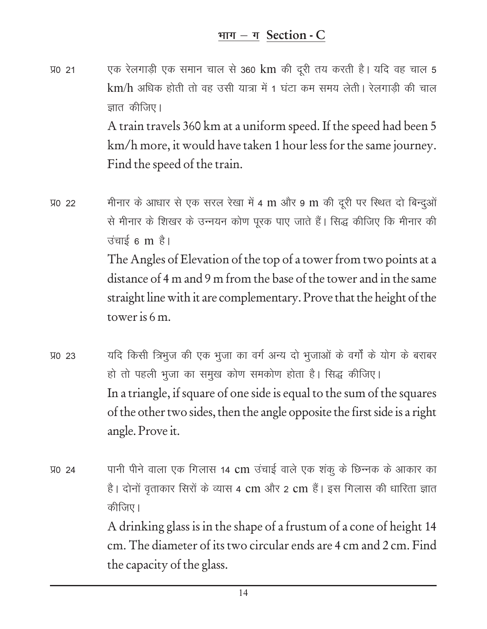एक रेलगाड़ी एक समान चाल से 360 km की दूरी तय करती है। यदि वह चाल 5 **VO 21** km/h अधिक होती तो वह उसी यात्रा में 1 घंटा कम समय लेती। रेलगाड़ी की चाल ज्ञात कीजिए।

A train travels 360 km at a uniform speed. If the speed had been 5 km/h more, it would have taken 1 hour less for the same journey. Find the speed of the train.

- मीनार के आधार से एक सरल रेखा में 4 m और 9 m की दूरी पर स्थित दो बिन्दुओं **VO 22** से मीनार के शिखर के उन्नयन कोण पूरक पाए जाते हैं। सिद्ध कीजिए कि मीनार की उंचाई 6 m है। The Angles of Elevation of the top of a tower from two points at a distance of 4 m and 9 m from the base of the tower and in the same straight line with it are complementary. Prove that the height of the tower is  $6m$ .
- यदि किसी त्रिभुज की एक भुजा का वर्ग अन्य दो भुजाओं के वर्गों के योग के बराबर **VO 23** हो तो पहली भुजा का समुख कोण समकोण होता है। सिद्ध कीजिए। In a triangle, if square of one side is equal to the sum of the squares of the other two sides, then the angle opposite the first side is a right angle. Prove it.
- पानी पीने वाला एक गिलास 14 cm उंचाई वाले एक शंकु के छिन्नक के आकार का **VO 24** है। दोनों वृताकार सिरों के व्यास 4 cm और 2 cm हैं। इस गिलास की धारिता ज्ञात कीजिए। A drinking glass is in the shape of a frustum of a cone of height 14 cm. The diameter of its two circular ends are 4 cm and 2 cm. Find the capacity of the glass.